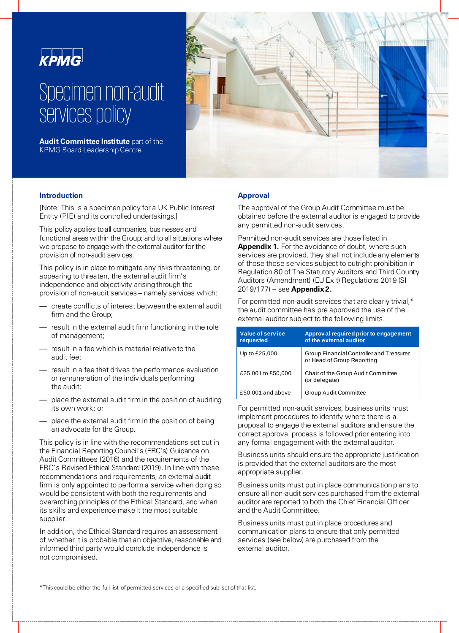

# Specimen non-audit services policy

**Audit Committee Institute** part of the KPMG Board Leadership Centre



# **Introduction**

[Note: This is a specimen policy for a UK Public Interest Entity (PIE) and its controlled undertakings.]

This policy applies to all companies, businesses and functional areas within the Group; and to all situations where we propose to engage with the external auditor for the provision of non-audit services.

This policy is in place to mitigate any risks threatening, or appearing to threaten, the external audit firm's independence and objectivity arising through the provision of non-audit services – namely services which:

- create conflicts of interest between the external audit firm and the Group;
- result in the external audit firm functioning in the role of management;
- result in a fee which is material relative to the audit fee;
- result in a fee that drives the performance evaluation or remuneration of the individuals performing the audit;
- place the external audit firm in the position of auditing its own work; or
- place the external audit firm in the position of being an advocate for the Group.

This policy is in line with the recommendations set out in the Financial Reporting Council's (FRC's) Guidance on Audit Committees (2016) and the requirements of the FRC's Revised Ethical Standard (2019). In line with these recommendations and requirements, an external audit firm is only appointed to perform a service when doing so would be consistent with both the requirements and overarching principles of the Ethical Standard, and when its skills and experience make it the most suitable supplier.

In addition, the Ethical Standard requires an assessment of whether it is probable that an objective, reasonable and informed third party would conclude independence is not compromised.

## **Approval**

The approval of the Group Audit Committee must be obtained before the external auditor is engaged to provide any permitted non-audit services.

Permitted non-audit services are those listed in **Appendix 1.** For the avoidance of doubt, where such services are provided, they shall not include any elements of those those services subject to outright prohibition in Regulation 80 of The Statutory Auditors and Third Country Auditors (Amendment) (EU Exit) Regulations 2019 (SI 2019/177) – see **Appendix 2.**

For permitted non-audit services that are clearly trivial,\* the audit committee has pre approved the use of the external auditor subject to the following limits.

| Value of service<br>requested | Approv al required prior to engagement<br>of the external auditor      |
|-------------------------------|------------------------------------------------------------------------|
| Up to £25,000                 | Group Financial Controller and Treasurer<br>or Head of Group Reporting |
| £25,001 to £50,000            | Chair of the Group Audit Committee<br>(or delegate)                    |
| £50,001 and above             | <b>Group Audit Committee</b>                                           |

For permitted non-audit services, business units must implement procedures to identify where there is a proposal to engage the external auditors and ensure the correct approval process is followed prior entering into any formal engagement with the external auditor.

Business units should ensure the appropriate justification is provided that the external auditors are the most appropriate supplier.

Business units must put in place communication plans to ensure all non-audit services purchased from the external auditor are reported to both the Chief Financial Officer and the Audit Committee.

Business units must put in place procedures and communication plans to ensure that only permitted services (see below) are purchased from the external auditor.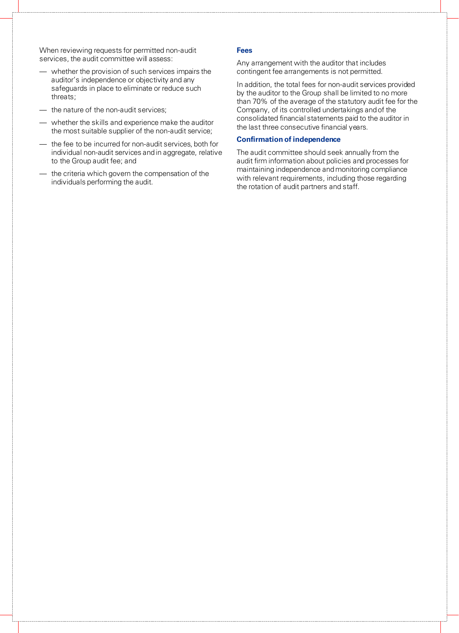When reviewing requests for permitted non-audit services, the audit committee will assess:

- whether the provision of such services impairs the auditor's independence or objectivity and any safeguards in place to eliminate or reduce such threats;
- the nature of the non-audit services;
- whether the skills and experience make the auditor the most suitable supplier of the non-audit service;
- the fee to be incurred for non-audit services, both for individual non-audit services and in aggregate, relative to the Group audit fee; and
- the criteria which govern the compensation of the individuals performing the audit.

#### **Fees**

Any arrangement with the auditor that includes contingent fee arrangements is not permitted.

In addition, the total fees for non-audit services provided by the auditor to the Group shall be limited to no more than 70% of the average of the statutory audit fee for the Company, of its controlled undertakings and of the consolidated financial statements paid to the auditor in the last three consecutive financial years.

#### **Confirmation of independence**

The audit committee should seek annually from the audit firm information about policies and processes for maintaining independence and monitoring compliance with relevant requirements, including those regarding the rotation of audit partners and staff.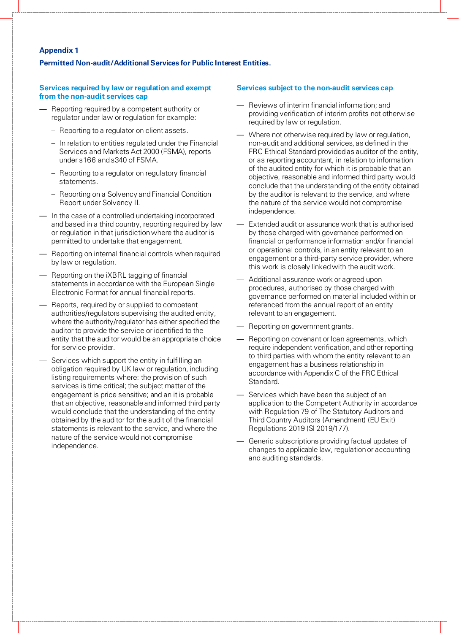# **Appendix 1**

## **Permitted Non-audit/Additional Services for Public Interest Entities.**

#### **Services required by law or regulation and exempt from the non-audit services cap**

- Reporting required by a competent authority or regulator under law or regulation for example:
	- Reporting to a regulator on client assets.
	- In relation to entities regulated under the Financial Services and Markets Act 2000 (FSMA), reports under s166 and s340 of FSMA.
	- Reporting to a regulator on regulatory financial statements.
	- Reporting on a Solvency and Financial Condition Report under Solvency II.
- In the case of a controlled undertaking incorporated and based in a third country, reporting required by law or regulation in that jurisdiction where the auditor is permitted to undertake that engagement.
- Reporting on internal financial controls when required by law or regulation.
- Reporting on the iXBRL tagging of financial statements in accordance with the European Single Electronic Format for annual financial reports.
- Reports, required by or supplied to competent authorities/regulators supervising the audited entity, where the authority/regulator has either specified the auditor to provide the service or identified to the entity that the auditor would be an appropriate choice for service provider.
- Services which support the entity in fulfilling an obligation required by UK law or regulation, including listing requirements where: the provision of such services is time critical; the subject matter of the engagement is price sensitive; and an it is probable that an objective, reasonable and informed third party would conclude that the understanding of the entity obtained by the auditor for the audit of the financial statements is relevant to the service, and where the nature of the service would not compromise independence.

## **Services subject to the non-audit services cap**

- Reviews of interim financial information; and providing verification of interim profits not otherwise required by law or regulation.
- Where not otherwise required by law or regulation, non-audit and additional services, as defined in the FRC Ethical Standard provided as auditor of the entity, or as reporting accountant, in relation to information of the audited entity for which it is probable that an objective, reasonable and informed third party would conclude that the understanding of the entity obtained by the auditor is relevant to the service, and where the nature of the service would not compromise independence.
- Extended audit or assurance work that is authorised by those charged with governance performed on financial or performance information and/or financial or operational controls, in an entity relevant to an engagement or a third-party service provider, where this work is closely linked with the audit work.
- Additional assurance work or agreed upon procedures, authorised by those charged with governance performed on material included within or referenced from the annual report of an entity relevant to an engagement.
- Reporting on government grants.
- Reporting on covenant or loan agreements, which require independent verification, and other reporting to third parties with whom the entity relevant to an engagement has a business relationship in accordance with Appendix C of the FRC Ethical Standard.
- Services which have been the subject of an application to the Competent Authority in accordance with Regulation 79 of The Statutory Auditors and Third Country Auditors (Amendment) (EU Exit) Regulations 2019 (SI 2019/177).
- Generic subscriptions providing factual updates of changes to applicable law, regulation or accounting and auditing standards.